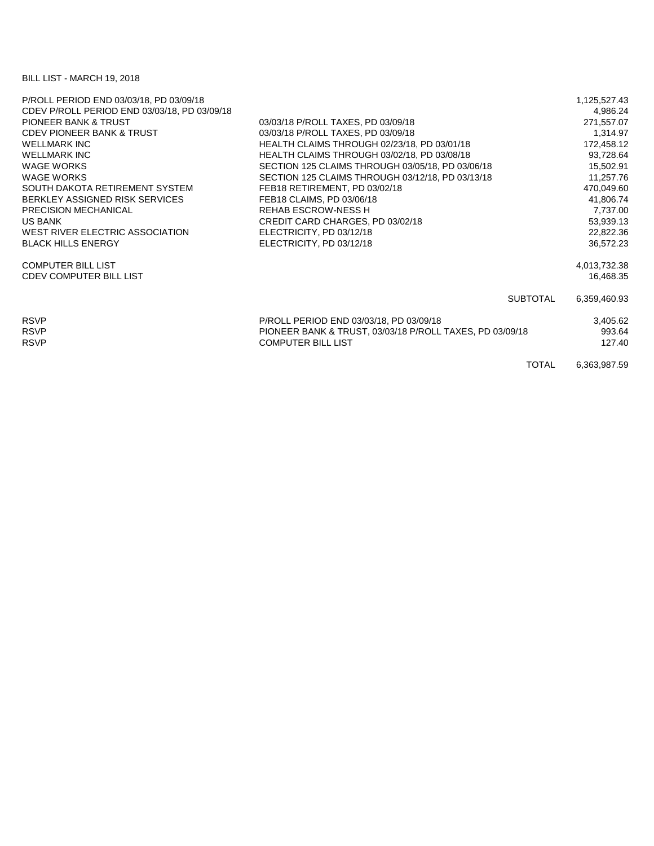## BILL LIST - MARCH 19, 2018

| P/ROLL PERIOD END 03/03/18, PD 03/09/18      |                                                          | 1,125,527.43 |
|----------------------------------------------|----------------------------------------------------------|--------------|
| CDEV P/ROLL PERIOD END 03/03/18, PD 03/09/18 |                                                          | 4,986.24     |
| <b>PIONEER BANK &amp; TRUST</b>              | 03/03/18 P/ROLL TAXES, PD 03/09/18                       | 271,557.07   |
| <b>CDEV PIONEER BANK &amp; TRUST</b>         | 03/03/18 P/ROLL TAXES, PD 03/09/18                       | 1,314.97     |
| <b>WELLMARK INC</b>                          | HEALTH CLAIMS THROUGH 02/23/18, PD 03/01/18              | 172,458.12   |
| <b>WELLMARK INC</b>                          | HEALTH CLAIMS THROUGH 03/02/18, PD 03/08/18              | 93,728.64    |
| <b>WAGE WORKS</b>                            | SECTION 125 CLAIMS THROUGH 03/05/18, PD 03/06/18         | 15,502.91    |
| <b>WAGE WORKS</b>                            | SECTION 125 CLAIMS THROUGH 03/12/18, PD 03/13/18         | 11,257.76    |
| SOUTH DAKOTA RETIREMENT SYSTEM               | FEB18 RETIREMENT, PD 03/02/18                            | 470,049.60   |
| BERKLEY ASSIGNED RISK SERVICES               | FEB18 CLAIMS, PD 03/06/18                                | 41,806.74    |
| PRECISION MECHANICAL                         | <b>REHAB ESCROW-NESS H</b>                               | 7,737.00     |
| <b>US BANK</b>                               | CREDIT CARD CHARGES, PD 03/02/18                         | 53,939.13    |
| WEST RIVER ELECTRIC ASSOCIATION              | ELECTRICITY, PD 03/12/18                                 | 22,822.36    |
| <b>BLACK HILLS ENERGY</b>                    | ELECTRICITY, PD 03/12/18                                 | 36,572.23    |
| <b>COMPUTER BILL LIST</b>                    |                                                          | 4,013,732.38 |
| <b>CDEV COMPUTER BILL LIST</b>               |                                                          | 16,468.35    |
|                                              | <b>SUBTOTAL</b>                                          | 6,359,460.93 |
| <b>RSVP</b>                                  | P/ROLL PERIOD END 03/03/18, PD 03/09/18                  | 3,405.62     |
| <b>RSVP</b>                                  | PIONEER BANK & TRUST, 03/03/18 P/ROLL TAXES, PD 03/09/18 | 993.64       |
| <b>RSVP</b>                                  | <b>COMPUTER BILL LIST</b>                                | 127.40       |
|                                              | <b>TOTAL</b>                                             | 6,363,987.59 |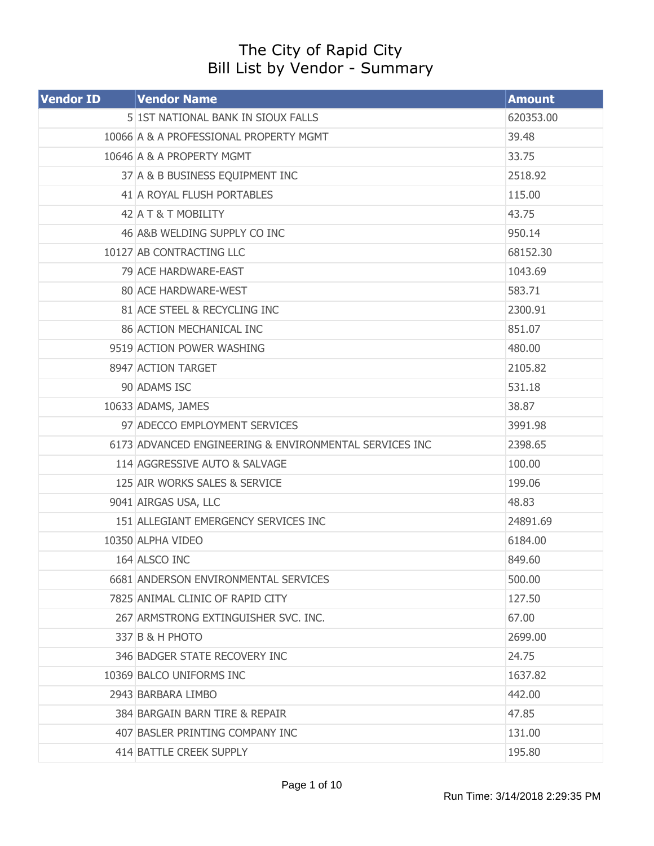## The City of Rapid City Bill List by Vendor - Summary

| <b>Vendor ID</b> | <b>Vendor Name</b>                                     | <b>Amount</b> |
|------------------|--------------------------------------------------------|---------------|
|                  | 5 1ST NATIONAL BANK IN SIOUX FALLS                     | 620353.00     |
|                  | 10066 A & A PROFESSIONAL PROPERTY MGMT                 | 39.48         |
|                  | 10646 A & A PROPERTY MGMT                              | 33.75         |
|                  | 37 A & B BUSINESS EQUIPMENT INC                        | 2518.92       |
|                  | 41 A ROYAL FLUSH PORTABLES                             | 115.00        |
|                  | 42 A T & T MOBILITY                                    | 43.75         |
|                  | 46 A&B WELDING SUPPLY CO INC                           | 950.14        |
|                  | 10127 AB CONTRACTING LLC                               | 68152.30      |
|                  | 79 ACE HARDWARE-EAST                                   | 1043.69       |
|                  | 80 ACE HARDWARE-WEST                                   | 583.71        |
|                  | 81 ACE STEEL & RECYCLING INC                           | 2300.91       |
|                  | 86 ACTION MECHANICAL INC                               | 851.07        |
|                  | 9519 ACTION POWER WASHING                              | 480.00        |
|                  | 8947 ACTION TARGET                                     | 2105.82       |
|                  | 90 ADAMS ISC                                           | 531.18        |
|                  | 10633 ADAMS, JAMES                                     | 38.87         |
|                  | 97 ADECCO EMPLOYMENT SERVICES                          | 3991.98       |
|                  | 6173 ADVANCED ENGINEERING & ENVIRONMENTAL SERVICES INC | 2398.65       |
|                  | 114 AGGRESSIVE AUTO & SALVAGE                          | 100.00        |
|                  | 125 AIR WORKS SALES & SERVICE                          | 199.06        |
|                  | 9041 AIRGAS USA, LLC                                   | 48.83         |
|                  | 151 ALLEGIANT EMERGENCY SERVICES INC                   | 24891.69      |
|                  | 10350 ALPHA VIDEO                                      | 6184.00       |
|                  | 164 ALSCO INC                                          | 849.60        |
|                  | 6681 ANDERSON ENVIRONMENTAL SERVICES                   | 500.00        |
|                  | 7825 ANIMAL CLINIC OF RAPID CITY                       | 127.50        |
|                  | 267 ARMSTRONG EXTINGUISHER SVC. INC.                   | 67.00         |
|                  | 337 B & H PHOTO                                        | 2699,00       |
|                  | 346 BADGER STATE RECOVERY INC                          | 24.75         |
|                  | 10369 BALCO UNIFORMS INC                               | 1637.82       |
|                  | 2943 BARBARA LIMBO                                     | 442.00        |
|                  | 384 BARGAIN BARN TIRE & REPAIR                         | 47.85         |
|                  | 407 BASLER PRINTING COMPANY INC                        | 131.00        |
|                  | 414 BATTLE CREEK SUPPLY                                | 195.80        |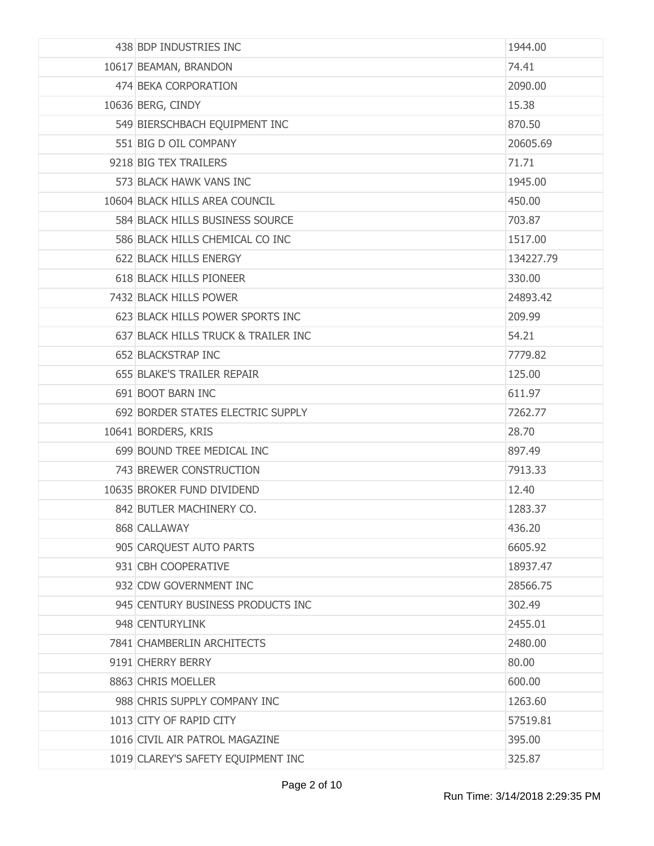| 438 BDP INDUSTRIES INC              | 1944.00   |
|-------------------------------------|-----------|
| 10617 BEAMAN, BRANDON               | 74.41     |
| 474 BEKA CORPORATION                | 2090.00   |
| 10636 BERG, CINDY                   | 15.38     |
| 549 BIERSCHBACH EQUIPMENT INC       | 870.50    |
| 551 BIG D OIL COMPANY               | 20605.69  |
| 9218 BIG TEX TRAILERS               | 71.71     |
| 573 BLACK HAWK VANS INC             | 1945.00   |
| 10604 BLACK HILLS AREA COUNCIL      | 450.00    |
| 584 BLACK HILLS BUSINESS SOURCE     | 703.87    |
| 586 BLACK HILLS CHEMICAL CO INC     | 1517.00   |
| 622 BLACK HILLS ENERGY              | 134227.79 |
| 618 BLACK HILLS PIONEER             | 330.00    |
| 7432 BLACK HILLS POWER              | 24893.42  |
| 623 BLACK HILLS POWER SPORTS INC    | 209.99    |
| 637 BLACK HILLS TRUCK & TRAILER INC | 54.21     |
| 652 BLACKSTRAP INC                  | 7779.82   |
| 655 BLAKE'S TRAILER REPAIR          | 125.00    |
| 691 BOOT BARN INC                   | 611.97    |
| 692 BORDER STATES ELECTRIC SUPPLY   | 7262.77   |
| 10641 BORDERS, KRIS                 | 28.70     |
| 699 BOUND TREE MEDICAL INC          | 897.49    |
| 743 BREWER CONSTRUCTION             | 7913.33   |
| 10635 BROKER FUND DIVIDEND          | 12.40     |
| 842 BUTLER MACHINERY CO.            | 1283.37   |
| 868 CALLAWAY                        | 436.20    |
| 905 CARQUEST AUTO PARTS             | 6605.92   |
| 931 CBH COOPERATIVE                 | 18937.47  |
| 932 CDW GOVERNMENT INC              | 28566.75  |
| 945 CENTURY BUSINESS PRODUCTS INC   | 302.49    |
| 948 CENTURYLINK                     | 2455.01   |
| 7841 CHAMBERLIN ARCHITECTS          | 2480.00   |
| 9191 CHERRY BERRY                   | 80.00     |
| 8863 CHRIS MOELLER                  | 600.00    |
| 988 CHRIS SUPPLY COMPANY INC        | 1263.60   |
| 1013 CITY OF RAPID CITY             | 57519.81  |
| 1016 CIVIL AIR PATROL MAGAZINE      | 395.00    |
| 1019 CLAREY'S SAFETY EQUIPMENT INC  | 325.87    |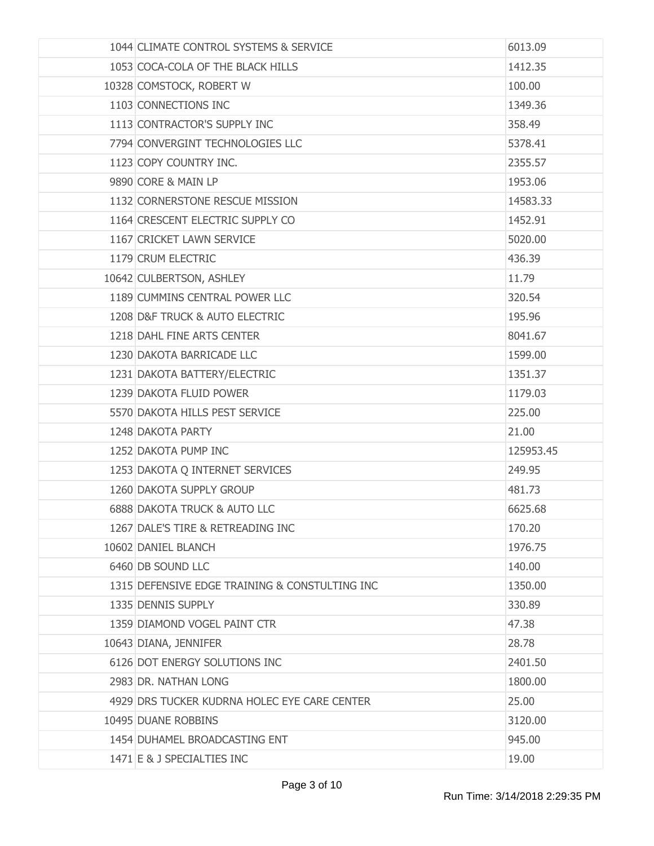| 1044 CLIMATE CONTROL SYSTEMS & SERVICE         | 6013.09   |
|------------------------------------------------|-----------|
| 1053 COCA-COLA OF THE BLACK HILLS              | 1412.35   |
| 10328 COMSTOCK, ROBERT W                       | 100.00    |
| 1103 CONNECTIONS INC                           | 1349.36   |
| 1113 CONTRACTOR'S SUPPLY INC                   | 358.49    |
| 7794 CONVERGINT TECHNOLOGIES LLC               | 5378.41   |
| 1123 COPY COUNTRY INC.                         | 2355.57   |
| 9890 CORE & MAIN LP                            | 1953.06   |
| 1132 CORNERSTONE RESCUE MISSION                | 14583.33  |
| 1164 CRESCENT ELECTRIC SUPPLY CO               | 1452.91   |
| 1167 CRICKET LAWN SERVICE                      | 5020.00   |
| 1179 CRUM ELECTRIC                             | 436.39    |
| 10642 CULBERTSON, ASHLEY                       | 11.79     |
| 1189 CUMMINS CENTRAL POWER LLC                 | 320.54    |
| 1208 D&F TRUCK & AUTO ELECTRIC                 | 195.96    |
| 1218 DAHL FINE ARTS CENTER                     | 8041.67   |
| 1230 DAKOTA BARRICADE LLC                      | 1599.00   |
| 1231 DAKOTA BATTERY/ELECTRIC                   | 1351.37   |
| 1239 DAKOTA FLUID POWER                        | 1179.03   |
| 5570 DAKOTA HILLS PEST SERVICE                 | 225.00    |
| 1248 DAKOTA PARTY                              | 21.00     |
| 1252 DAKOTA PUMP INC                           | 125953.45 |
| 1253 DAKOTA Q INTERNET SERVICES                | 249.95    |
| 1260 DAKOTA SUPPLY GROUP                       | 481.73    |
| <b>6888 DAKOTA TRUCK &amp; AUTO LLC</b>        | 6625.68   |
| 1267 DALE'S TIRE & RETREADING INC              | 170.20    |
| 10602 DANIEL BLANCH                            | 1976.75   |
| 6460 DB SOUND LLC                              | 140.00    |
| 1315 DEFENSIVE EDGE TRAINING & CONSTULTING INC | 1350.00   |
| 1335 DENNIS SUPPLY                             | 330.89    |
| 1359 DIAMOND VOGEL PAINT CTR                   | 47.38     |
| 10643 DIANA, JENNIFER                          | 28.78     |
| 6126 DOT ENERGY SOLUTIONS INC                  | 2401.50   |
| 2983 DR. NATHAN LONG                           | 1800.00   |
| 4929 DRS TUCKER KUDRNA HOLEC EYE CARE CENTER   | 25.00     |
| 10495 DUANE ROBBINS                            | 3120.00   |
| 1454 DUHAMEL BROADCASTING ENT                  | 945.00    |
| 1471 E & J SPECIALTIES INC                     | 19.00     |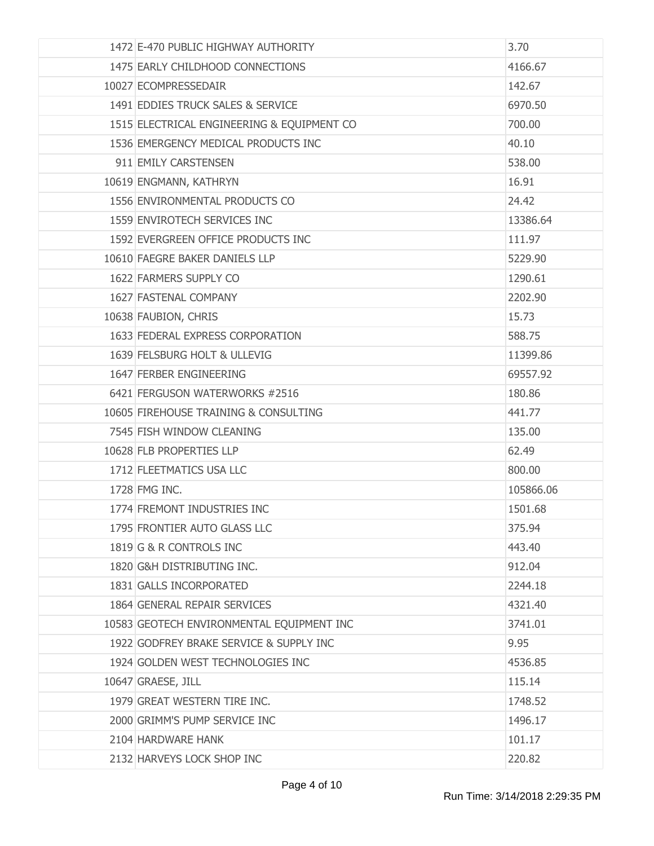| 1472 E-470 PUBLIC HIGHWAY AUTHORITY        | 3.70      |
|--------------------------------------------|-----------|
| 1475 EARLY CHILDHOOD CONNECTIONS           | 4166.67   |
| 10027 ECOMPRESSEDAIR                       | 142.67    |
| 1491 EDDIES TRUCK SALES & SERVICE          | 6970.50   |
| 1515 ELECTRICAL ENGINEERING & EQUIPMENT CO | 700.00    |
| 1536 EMERGENCY MEDICAL PRODUCTS INC        | 40.10     |
| 911 EMILY CARSTENSEN                       | 538.00    |
| 10619 ENGMANN, KATHRYN                     | 16.91     |
| 1556 ENVIRONMENTAL PRODUCTS CO             | 24.42     |
| 1559 ENVIROTECH SERVICES INC               | 13386.64  |
| 1592 EVERGREEN OFFICE PRODUCTS INC         | 111.97    |
| 10610 FAEGRE BAKER DANIELS LLP             | 5229.90   |
| 1622 FARMERS SUPPLY CO                     | 1290.61   |
| 1627 FASTENAL COMPANY                      | 2202.90   |
| 10638 FAUBION, CHRIS                       | 15.73     |
| 1633 FEDERAL EXPRESS CORPORATION           | 588.75    |
| 1639 FELSBURG HOLT & ULLEVIG               | 11399.86  |
| 1647 FERBER ENGINEERING                    | 69557.92  |
| 6421 FERGUSON WATERWORKS #2516             | 180.86    |
| 10605 FIREHOUSE TRAINING & CONSULTING      | 441.77    |
| 7545 FISH WINDOW CLEANING                  | 135.00    |
| 10628 FLB PROPERTIES LLP                   | 62.49     |
| 1712 FLEETMATICS USA LLC                   | 800.00    |
| 1728 FMG INC.                              | 105866.06 |
| 1774 FREMONT INDUSTRIES INC                | 1501.68   |
| 1795 FRONTIER AUTO GLASS LLC               | 375.94    |
| 1819 G & R CONTROLS INC                    | 443.40    |
| 1820 G&H DISTRIBUTING INC.                 | 912.04    |
| 1831 GALLS INCORPORATED                    | 2244.18   |
| 1864 GENERAL REPAIR SERVICES               | 4321.40   |
| 10583 GEOTECH ENVIRONMENTAL EQUIPMENT INC  | 3741.01   |
| 1922 GODFREY BRAKE SERVICE & SUPPLY INC    | 9.95      |
| 1924 GOLDEN WEST TECHNOLOGIES INC          | 4536.85   |
| 10647 GRAESE, JILL                         | 115.14    |
| 1979 GREAT WESTERN TIRE INC.               | 1748.52   |
| 2000 GRIMM'S PUMP SERVICE INC              | 1496.17   |
| 2104 HARDWARE HANK                         | 101.17    |
| 2132 HARVEYS LOCK SHOP INC                 | 220.82    |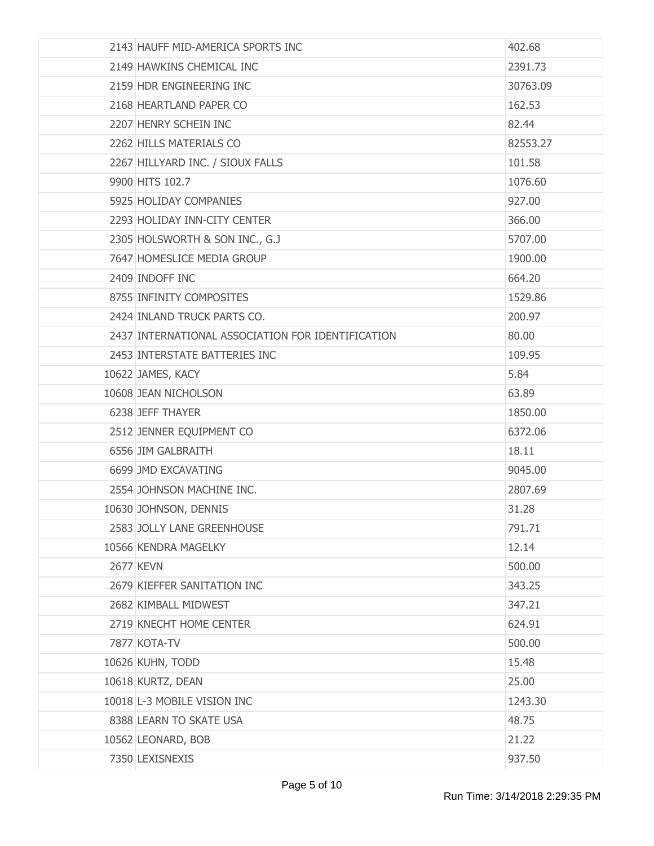| 2143 HAUFF MID-AMERICA SPORTS INC                 | 402.68   |
|---------------------------------------------------|----------|
| 2149 HAWKINS CHEMICAL INC                         | 2391.73  |
| 2159 HDR ENGINEERING INC                          | 30763.09 |
| 2168 HEARTLAND PAPER CO                           | 162.53   |
| 2207 HENRY SCHEIN INC                             | 82.44    |
| 2262 HILLS MATERIALS CO                           | 82553.27 |
| 2267 HILLYARD INC. / SIOUX FALLS                  | 101.58   |
| 9900 HITS 102.7                                   | 1076.60  |
| 5925 HOLIDAY COMPANIES                            | 927.00   |
| 2293 HOLIDAY INN-CITY CENTER                      | 366.00   |
| 2305 HOLSWORTH & SON INC., G.J                    | 5707.00  |
| 7647 HOMESLICE MEDIA GROUP                        | 1900.00  |
| 2409 INDOFF INC                                   | 664.20   |
| 8755 INFINITY COMPOSITES                          | 1529.86  |
| 2424 INLAND TRUCK PARTS CO.                       | 200.97   |
| 2437 INTERNATIONAL ASSOCIATION FOR IDENTIFICATION | 80.00    |
| 2453 INTERSTATE BATTERIES INC                     | 109.95   |
| 10622 JAMES, KACY                                 | 5.84     |
| 10608 JEAN NICHOLSON                              | 63.89    |
| 6238 JEFF THAYER                                  | 1850.00  |
| 2512 JENNER EQUIPMENT CO                          | 6372.06  |
| 6556 JIM GALBRAITH                                | 18.11    |
| 6699 JMD EXCAVATING                               | 9045.00  |
| 2554 JOHNSON MACHINE INC.                         | 2807.69  |
| 10630 JOHNSON, DENNIS                             | 31.28    |
| 2583 JOLLY LANE GREENHOUSE                        | 791.71   |
| 10566 KENDRA MAGELKY                              | 12.14    |
| <b>2677 KEVN</b>                                  | 500.00   |
| 2679 KIEFFER SANITATION INC                       | 343.25   |
| 2682 KIMBALL MIDWEST                              | 347.21   |
| 2719 KNECHT HOME CENTER                           | 624.91   |
| 7877 KOTA-TV                                      | 500.00   |
| 10626 KUHN, TODD                                  | 15.48    |
| 10618 KURTZ, DEAN                                 | 25.00    |
| 10018 L-3 MOBILE VISION INC                       | 1243.30  |
| 8388 LEARN TO SKATE USA                           | 48.75    |
| 10562 LEONARD, BOB                                | 21.22    |
| 7350 LEXISNEXIS                                   | 937.50   |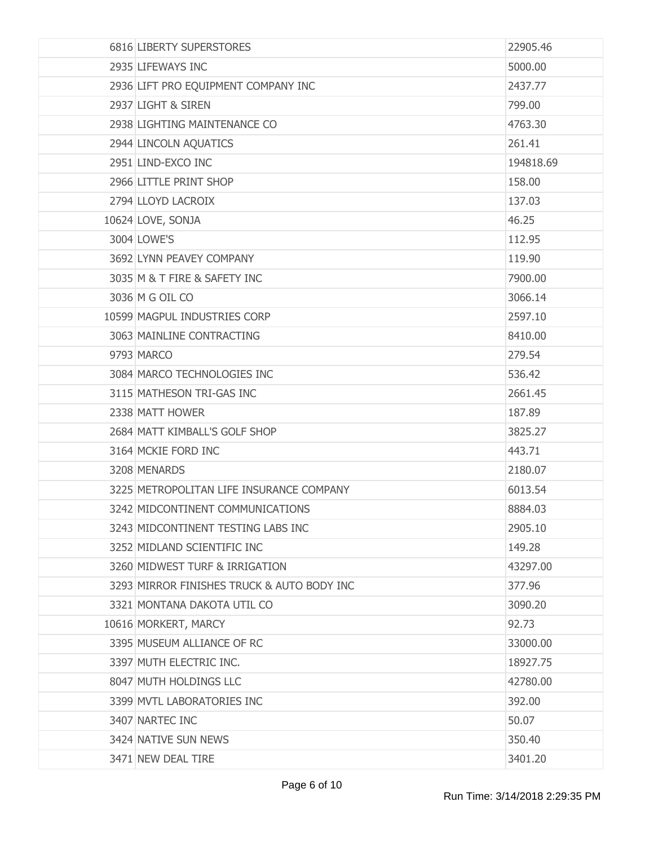| 6816 LIBERTY SUPERSTORES                   | 22905.46  |
|--------------------------------------------|-----------|
| 2935 LIFEWAYS INC                          | 5000.00   |
| 2936 LIFT PRO EQUIPMENT COMPANY INC        | 2437.77   |
| 2937 LIGHT & SIREN                         | 799.00    |
| 2938 LIGHTING MAINTENANCE CO               | 4763.30   |
| 2944 LINCOLN AQUATICS                      | 261.41    |
| 2951 LIND-EXCO INC                         | 194818.69 |
| 2966 LITTLE PRINT SHOP                     | 158.00    |
| 2794 LLOYD LACROIX                         | 137.03    |
| 10624 LOVE, SONJA                          | 46.25     |
| 3004 LOWE'S                                | 112.95    |
| 3692 LYNN PEAVEY COMPANY                   | 119.90    |
| 3035 M & T FIRE & SAFETY INC               | 7900.00   |
| 3036 M G OIL CO                            | 3066.14   |
| 10599 MAGPUL INDUSTRIES CORP               | 2597.10   |
| 3063 MAINLINE CONTRACTING                  | 8410.00   |
| 9793 MARCO                                 | 279.54    |
| 3084 MARCO TECHNOLOGIES INC                | 536.42    |
| 3115 MATHESON TRI-GAS INC                  | 2661.45   |
| 2338 MATT HOWER                            | 187.89    |
| 2684 MATT KIMBALL'S GOLF SHOP              | 3825.27   |
| 3164 MCKIE FORD INC                        | 443.71    |
| 3208 MENARDS                               | 2180.07   |
| 3225 METROPOLITAN LIFE INSURANCE COMPANY   | 6013.54   |
| 3242 MIDCONTINENT COMMUNICATIONS           | 8884.03   |
| 3243 MIDCONTINENT TESTING LABS INC         | 2905.10   |
| 3252 MIDLAND SCIENTIFIC INC                | 149.28    |
| 3260 MIDWEST TURF & IRRIGATION             | 43297.00  |
| 3293 MIRROR FINISHES TRUCK & AUTO BODY INC | 377.96    |
| 3321 MONTANA DAKOTA UTIL CO                | 3090.20   |
| 10616 MORKERT, MARCY                       | 92.73     |
| 3395 MUSEUM ALLIANCE OF RC                 | 33000.00  |
| 3397 MUTH ELECTRIC INC.                    | 18927.75  |
| 8047 MUTH HOLDINGS LLC                     | 42780.00  |
| 3399 MVTL LABORATORIES INC                 | 392.00    |
| 3407 NARTEC INC                            | 50.07     |
| 3424 NATIVE SUN NEWS                       | 350.40    |
| 3471 NEW DEAL TIRE                         | 3401.20   |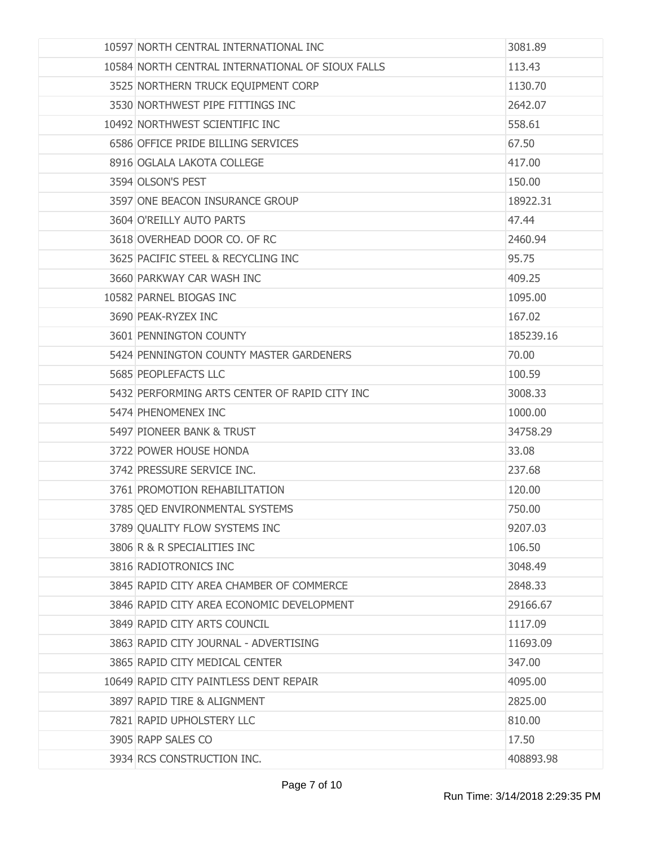| 10597 NORTH CENTRAL INTERNATIONAL INC            | 3081.89   |
|--------------------------------------------------|-----------|
| 10584 NORTH CENTRAL INTERNATIONAL OF SIOUX FALLS | 113.43    |
| 3525 NORTHERN TRUCK EQUIPMENT CORP               | 1130.70   |
| 3530 NORTHWEST PIPE FITTINGS INC                 | 2642.07   |
| 10492 NORTHWEST SCIENTIFIC INC                   | 558.61    |
| 6586 OFFICE PRIDE BILLING SERVICES               | 67.50     |
| 8916 OGLALA LAKOTA COLLEGE                       | 417.00    |
| 3594 OLSON'S PEST                                | 150.00    |
| 3597 ONE BEACON INSURANCE GROUP                  | 18922.31  |
| 3604 O'REILLY AUTO PARTS                         | 47.44     |
| 3618 OVERHEAD DOOR CO. OF RC                     | 2460.94   |
| 3625 PACIFIC STEEL & RECYCLING INC               | 95.75     |
| 3660 PARKWAY CAR WASH INC                        | 409.25    |
| 10582 PARNEL BIOGAS INC                          | 1095.00   |
| 3690 PEAK-RYZEX INC                              | 167.02    |
| 3601 PENNINGTON COUNTY                           | 185239.16 |
| 5424 PENNINGTON COUNTY MASTER GARDENERS          | 70.00     |
| 5685 PEOPLEFACTS LLC                             | 100.59    |
| 5432 PERFORMING ARTS CENTER OF RAPID CITY INC    | 3008.33   |
| 5474 PHENOMENEX INC                              | 1000.00   |
| 5497 PIONEER BANK & TRUST                        | 34758.29  |
| 3722 POWER HOUSE HONDA                           | 33.08     |
| 3742 PRESSURE SERVICE INC.                       | 237.68    |
| 3761 PROMOTION REHABILITATION                    | 120.00    |
| 3785 OED ENVIRONMENTAL SYSTEMS                   | 750.00    |
| 3789 QUALITY FLOW SYSTEMS INC                    | 9207.03   |
| 3806 R & R SPECIALITIES INC                      | 106.50    |
| 3816 RADIOTRONICS INC                            | 3048.49   |
| 3845 RAPID CITY AREA CHAMBER OF COMMERCE         | 2848.33   |
| 3846 RAPID CITY AREA ECONOMIC DEVELOPMENT        | 29166.67  |
| 3849 RAPID CITY ARTS COUNCIL                     | 1117.09   |
| 3863 RAPID CITY JOURNAL - ADVERTISING            | 11693.09  |
| 3865 RAPID CITY MEDICAL CENTER                   | 347.00    |
| 10649 RAPID CITY PAINTLESS DENT REPAIR           | 4095.00   |
| 3897 RAPID TIRE & ALIGNMENT                      | 2825.00   |
| 7821 RAPID UPHOLSTERY LLC                        | 810.00    |
| 3905 RAPP SALES CO                               | 17.50     |
| 3934 RCS CONSTRUCTION INC.                       | 408893.98 |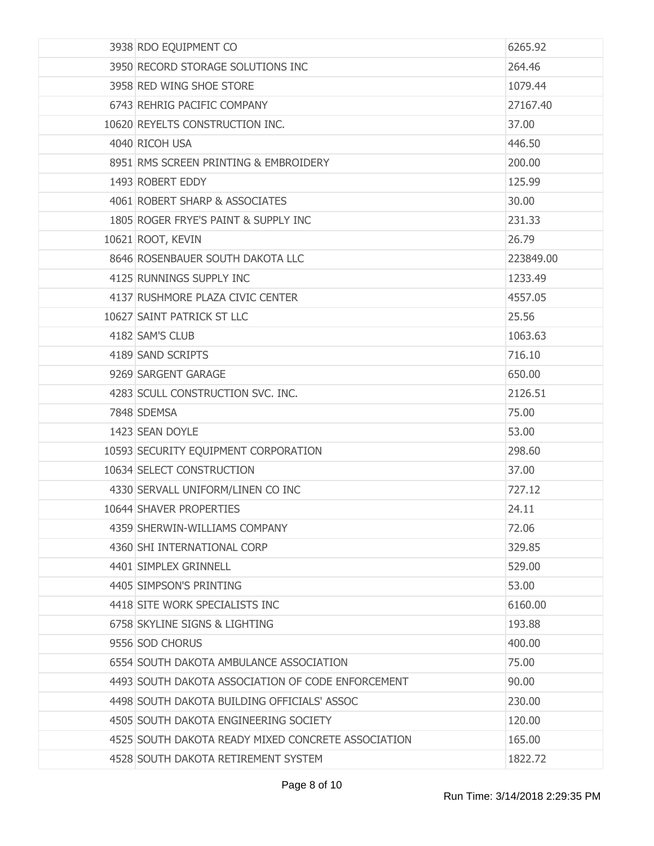| 3938 RDO EQUIPMENT CO                              | 6265.92   |
|----------------------------------------------------|-----------|
| 3950 RECORD STORAGE SOLUTIONS INC                  | 264.46    |
| 3958 RED WING SHOE STORE                           | 1079.44   |
| 6743 REHRIG PACIFIC COMPANY                        | 27167.40  |
| 10620 REYELTS CONSTRUCTION INC.                    | 37.00     |
| 4040 RICOH USA                                     | 446.50    |
| 8951 RMS SCREEN PRINTING & EMBROIDERY              | 200.00    |
| 1493 ROBERT EDDY                                   | 125.99    |
| 4061 ROBERT SHARP & ASSOCIATES                     | 30.00     |
| 1805 ROGER FRYE'S PAINT & SUPPLY INC               | 231.33    |
| 10621 ROOT, KEVIN                                  | 26.79     |
| 8646 ROSENBAUER SOUTH DAKOTA LLC                   | 223849.00 |
| 4125 RUNNINGS SUPPLY INC                           | 1233.49   |
| 4137 RUSHMORE PLAZA CIVIC CENTER                   | 4557.05   |
| 10627 SAINT PATRICK ST LLC                         | 25.56     |
| 4182 SAM'S CLUB                                    | 1063.63   |
| 4189 SAND SCRIPTS                                  | 716.10    |
| 9269 SARGENT GARAGE                                | 650.00    |
| 4283 SCULL CONSTRUCTION SVC. INC.                  | 2126.51   |
| 7848 SDEMSA                                        | 75.00     |
| 1423 SEAN DOYLE                                    | 53.00     |
| 10593 SECURITY EQUIPMENT CORPORATION               | 298.60    |
| 10634 SELECT CONSTRUCTION                          | 37.00     |
| 4330 SERVALL UNIFORM/LINEN CO INC                  | 727.12    |
| 10644 SHAVER PROPERTIES                            | 24.11     |
| 4359 SHERWIN-WILLIAMS COMPANY                      | 72.06     |
| 4360 SHI INTERNATIONAL CORP                        | 329.85    |
| 4401 SIMPLEX GRINNELL                              | 529.00    |
| 4405 SIMPSON'S PRINTING                            | 53.00     |
| 4418 SITE WORK SPECIALISTS INC                     | 6160.00   |
| 6758 SKYLINE SIGNS & LIGHTING                      | 193.88    |
| 9556 SOD CHORUS                                    | 400.00    |
| 6554 SOUTH DAKOTA AMBULANCE ASSOCIATION            | 75.00     |
| 4493 SOUTH DAKOTA ASSOCIATION OF CODE ENFORCEMENT  | 90.00     |
| 4498 SOUTH DAKOTA BUILDING OFFICIALS' ASSOC        | 230.00    |
| 4505 SOUTH DAKOTA ENGINEERING SOCIETY              | 120.00    |
| 4525 SOUTH DAKOTA READY MIXED CONCRETE ASSOCIATION | 165.00    |
| 4528 SOUTH DAKOTA RETIREMENT SYSTEM                | 1822.72   |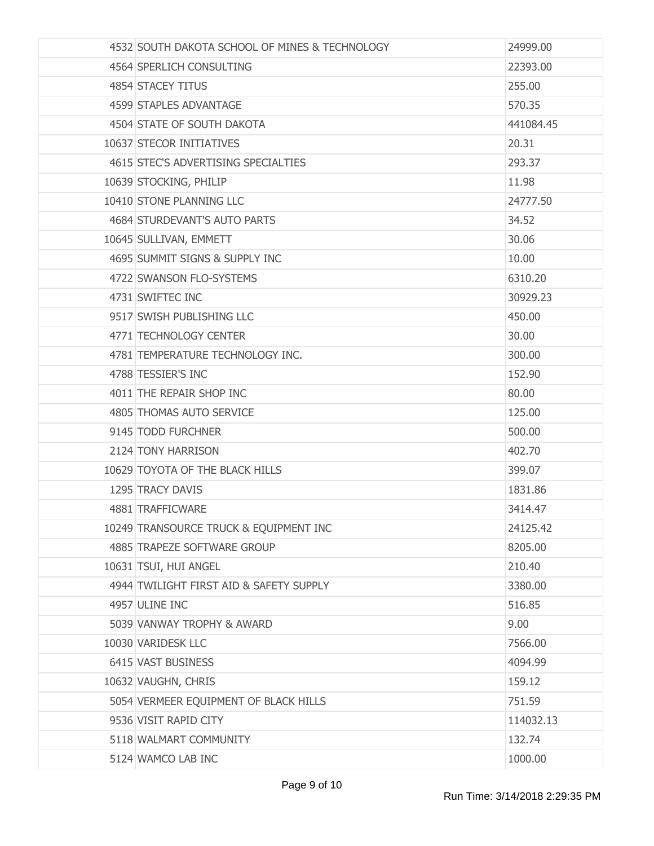| 4532 SOUTH DAKOTA SCHOOL OF MINES & TECHNOLOGY | 24999.00  |
|------------------------------------------------|-----------|
| 4564 SPERLICH CONSULTING                       | 22393.00  |
| 4854 STACEY TITUS                              | 255.00    |
| 4599 STAPLES ADVANTAGE                         | 570.35    |
| 4504 STATE OF SOUTH DAKOTA                     | 441084.45 |
| 10637 STECOR INITIATIVES                       | 20.31     |
| 4615 STEC'S ADVERTISING SPECIALTIES            | 293.37    |
| 10639 STOCKING, PHILIP                         | 11.98     |
| 10410 STONE PLANNING LLC                       | 24777.50  |
| 4684 STURDEVANT'S AUTO PARTS                   | 34.52     |
| 10645 SULLIVAN, EMMETT                         | 30.06     |
| 4695 SUMMIT SIGNS & SUPPLY INC                 | 10.00     |
| 4722 SWANSON FLO-SYSTEMS                       | 6310.20   |
| 4731 SWIFTEC INC                               | 30929.23  |
| 9517 SWISH PUBLISHING LLC                      | 450.00    |
| 4771 TECHNOLOGY CENTER                         | 30.00     |
| 4781 TEMPERATURE TECHNOLOGY INC.               | 300.00    |
| 4788 TESSIER'S INC                             | 152.90    |
| 4011 THE REPAIR SHOP INC                       | 80.00     |
| 4805 THOMAS AUTO SERVICE                       | 125.00    |
| 9145 TODD FURCHNER                             | 500.00    |
| 2124 TONY HARRISON                             | 402.70    |
| 10629 TOYOTA OF THE BLACK HILLS                | 399.07    |
| 1295 TRACY DAVIS                               | 1831.86   |
| 4881 TRAFFICWARE                               | 3414.47   |
| 10249 TRANSOURCE TRUCK & EQUIPMENT INC         | 24125.42  |
| 4885 TRAPEZE SOFTWARE GROUP                    | 8205.00   |
| 10631 TSUI, HUI ANGEL                          | 210.40    |
| 4944 TWILIGHT FIRST AID & SAFETY SUPPLY        | 3380.00   |
| 4957 ULINE INC                                 | 516.85    |
| 5039 VANWAY TROPHY & AWARD                     | 9.00      |
| 10030 VARIDESK LLC                             | 7566.00   |
| 6415 VAST BUSINESS                             | 4094.99   |
| 10632 VAUGHN, CHRIS                            | 159.12    |
| 5054 VERMEER EQUIPMENT OF BLACK HILLS          | 751.59    |
| 9536 VISIT RAPID CITY                          | 114032.13 |
| 5118 WALMART COMMUNITY                         | 132.74    |
| 5124 WAMCO LAB INC                             | 1000.00   |